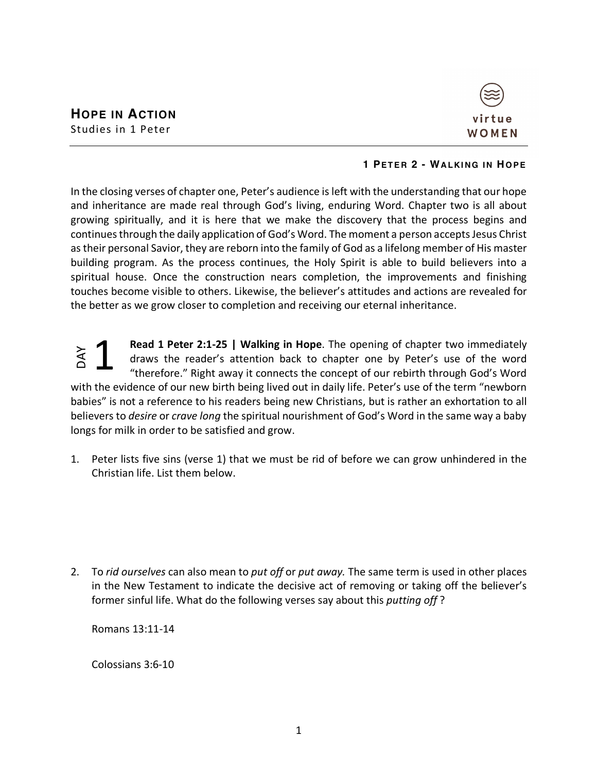

## **1 PETER 2 - WALKING IN HOPE**

In the closing verses of chapter one, Peter's audience is left with the understanding that our hope and inheritance are made real through God's living, enduring Word. Chapter two is all about growing spiritually, and it is here that we make the discovery that the process begins and continues through the daily application of God's Word. The moment a person accepts Jesus Christ as their personal Savior, they are reborn into the family of God as a lifelong member of His master building program. As the process continues, the Holy Spirit is able to build believers into a spiritual house. Once the construction nears completion, the improvements and finishing touches become visible to others. Likewise, the believer's attitudes and actions are revealed for the better as we grow closer to completion and receiving our eternal inheritance.

**Read 1 Peter 2:1-25 | Walking in Hope**. The opening of chapter two immediately draws the reader's attention back to chapter one by Peter's use of the word "therefore." Right away it connects the concept of our rebirth through God's Word with the evidence of our new birth being lived out in daily life. Peter's use of the term "newborn babies" is not a reference to his readers being new Christians, but is rather an exhortation to all believers to *desire* or *crave long* the spiritual nourishment of God's Word in the same way a baby longs for milk in order to be satisfied and grow. DAY 1

1. Peter lists five sins (verse 1) that we must be rid of before we can grow unhindered in the Christian life. List them below.

2. To *rid ourselves* can also mean to *put off* or *put away.* The same term is used in other places in the New Testament to indicate the decisive act of removing or taking off the believer's former sinful life. What do the following verses say about this *putting off* ?

Romans 13:11-14

Colossians 3:6-10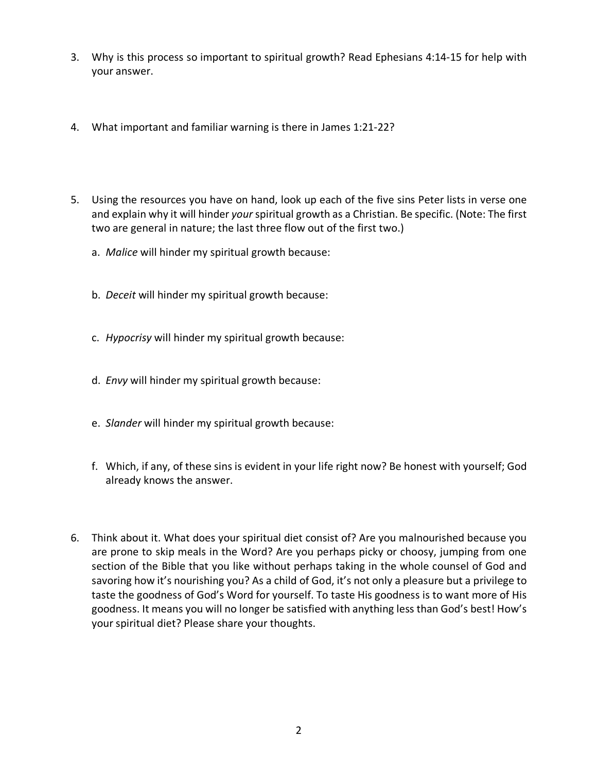- 3. Why is this process so important to spiritual growth? Read Ephesians 4:14-15 for help with your answer.
- 4. What important and familiar warning is there in James 1:21-22?
- 5. Using the resources you have on hand, look up each of the five sins Peter lists in verse one and explain why it will hinder *your* spiritual growth as a Christian. Be specific. (Note: The first two are general in nature; the last three flow out of the first two.)
	- a. *Malice* will hinder my spiritual growth because:
	- b. *Deceit* will hinder my spiritual growth because:
	- c. *Hypocrisy* will hinder my spiritual growth because:
	- d. *Envy* will hinder my spiritual growth because:
	- e. *Slander* will hinder my spiritual growth because:
	- f. Which, if any, of these sins is evident in your life right now? Be honest with yourself; God already knows the answer.
- 6. Think about it. What does your spiritual diet consist of? Are you malnourished because you are prone to skip meals in the Word? Are you perhaps picky or choosy, jumping from one section of the Bible that you like without perhaps taking in the whole counsel of God and savoring how it's nourishing you? As a child of God, it's not only a pleasure but a privilege to taste the goodness of God's Word for yourself. To taste His goodness is to want more of His goodness. It means you will no longer be satisfied with anything less than God's best! How's your spiritual diet? Please share your thoughts.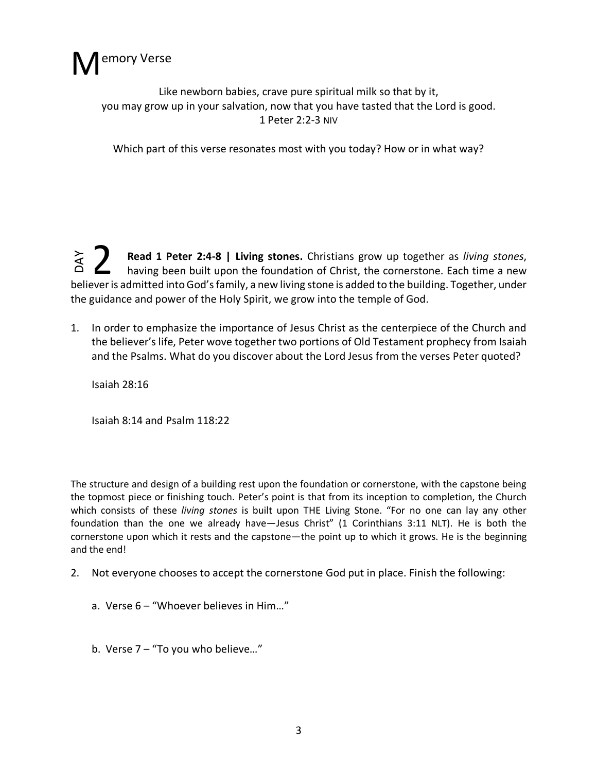

Like newborn babies, crave pure spiritual milk so that by it, you may grow up in your salvation, now that you have tasted that the Lord is good. 1 Peter 2:2-3 NIV

Which part of this verse resonates most with you today? How or in what way?

**Read 1 Peter 2:4-8 | Living stones.** Christians grow up together as *living stones*, having been built upon the foundation of Christ, the cornerstone. Each time a new Fead 1 Peter 2:4-8 | Living stones. Christians grow up together as *living stones*, having been built upon the foundation of Christ, the cornerstone. Each time a new believer is admitted into God's family, a new living sto the guidance and power of the Holy Spirit, we grow into the temple of God. DAY

1. In order to emphasize the importance of Jesus Christ as the centerpiece of the Church and the believer's life, Peter wove together two portions of Old Testament prophecy from Isaiah and the Psalms. What do you discover about the Lord Jesus from the verses Peter quoted?

Isaiah 28:16

Isaiah 8:14 and Psalm 118:22

The structure and design of a building rest upon the foundation or cornerstone, with the capstone being the topmost piece or finishing touch. Peter's point is that from its inception to completion, the Church which consists of these *living stones* is built upon THE Living Stone. "For no one can lay any other foundation than the one we already have—Jesus Christ" (1 Corinthians 3:11 NLT). He is both the cornerstone upon which it rests and the capstone—the point up to which it grows. He is the beginning and the end!

- 2. Not everyone chooses to accept the cornerstone God put in place. Finish the following:
	- a. Verse 6 "Whoever believes in Him…"
	- b. Verse 7 "To you who believe…"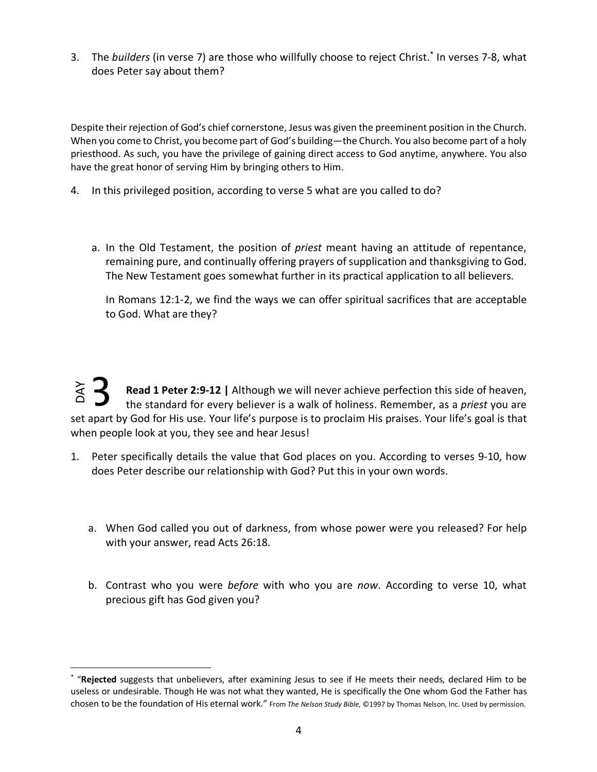3. The *builders* (in verse 7) are those who willfully choose to reject Christ.\* In verses 7-8, what does Peter say about them?

Despite their rejection of God's chief cornerstone, Jesus was given the preeminent position in the Church. When you come to Christ, you become part of God's building—the Church. You also become part of a holy priesthood. As such, you have the privilege of gaining direct access to God anytime, anywhere. You also have the great honor of serving Him by bringing others to Him.

- 4. In this privileged position, according to verse 5 what are you called to do?
	- a. In the Old Testament, the position of *priest* meant having an attitude of repentance, remaining pure, and continually offering prayers of supplication and thanksgiving to God. The New Testament goes somewhat further in its practical application to all believers.

In Romans 12:1-2, we find the ways we can offer spiritual sacrifices that are acceptable to God. What are they?

**Read 1 Peter 2:9-12 |** Although we will never achieve perfection this side of heaven, the standard for every believer is a walk of holiness. Remember, as a *priest* you are set apart by God for His use. Your life's purpose is to proclaim His praises. Your life's goal is that when people look at you, they see and hear Jesus! chosen to be the foundation of His eternal work." From *The Nelson Study Bible,* and *The termal work by God for His use. Your life's purpose* is to proclaim His praises. Your life's goal is that when people look at you, t 3

- 1. Peter specifically details the value that God places on you. According to verses 9-10, how does Peter describe our relationship with God? Put this in your own words.
	- a. When God called you out of darkness, from whose power were you released? For help with your answer, read Acts 26:18.
	- b. Contrast who you were *before* with who you are *now*. According to verse 10, what precious gift has God given you?

 <sup>\*</sup> "**Rejected** suggests that unbelievers, after examining Jesus to see if He meets their needs, declared Him to be useless or undesirable. Though He was not what they wanted, He is specifically the One whom God the Father has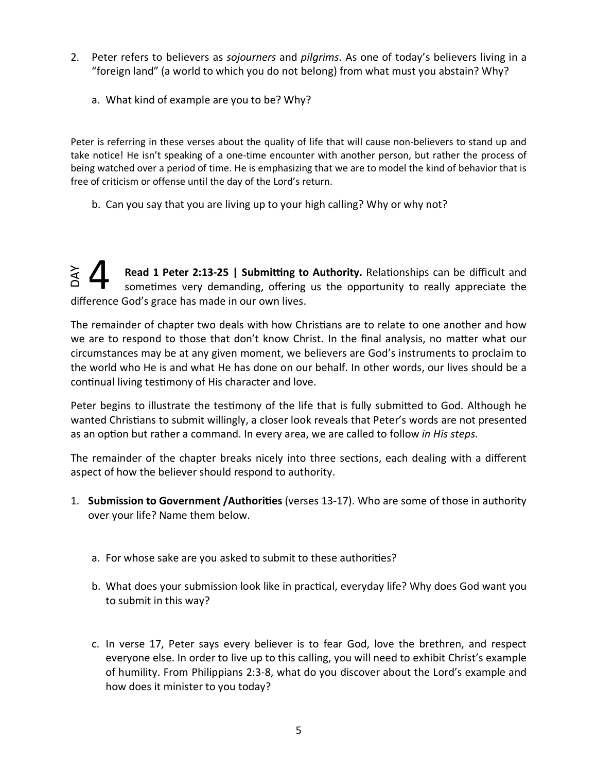- 2. Peter refers to believers as *sojourners* and *pilgrims*. As one of today's believers living in a "foreign land" (a world to which you do not belong) from what must you abstain? Why?
	- a. What kind of example are you to be? Why?

Peter is referring in these verses about the quality of life that will cause non-believers to stand up and take notice! He isn't speaking of a one-time encounter with another person, but rather the process of being watched over a period of time. He is emphasizing that we are to model the kind of behavior that is free of criticism or offense until the day of the Lord's return.

b. Can you say that you are living up to your high calling? Why or why not?

**Read 1 Peter 2:13-25 | Submitting to Authority.** Relationships can be difficult and sometimes very demanding, offering us the opportunity to really appreciate the difference God's grace has made in our own lives. **YAC** 4

The remainder of chapter two deals with how Christians are to relate to one another and how we are to respond to those that don't know Christ. In the final analysis, no matter what our circumstances may be at any given moment, we believers are God's instruments to proclaim to the world who He is and what He has done on our behalf. In other words, our lives should be a continual living testimony of His character and love.

Peter begins to illustrate the testimony of the life that is fully submitted to God. Although he wanted Christians to submit willingly, a closer look reveals that Peter's words are not presented as an option but rather a command. In every area, we are called to follow *in His steps*.

The remainder of the chapter breaks nicely into three sections, each dealing with a different aspect of how the believer should respond to authority.

- 1. **Submission to Government /Authorities** (verses 13-17). Who are some of those in authority over your life? Name them below.
	- a. For whose sake are you asked to submit to these authorities?
	- b. What does your submission look like in practical, everyday life? Why does God want you to submit in this way?
	- c. In verse 17, Peter says every believer is to fear God, love the brethren, and respect everyone else. In order to live up to this calling, you will need to exhibit Christ's example of humility. From Philippians 2:3-8, what do you discover about the Lord's example and how does it minister to you today?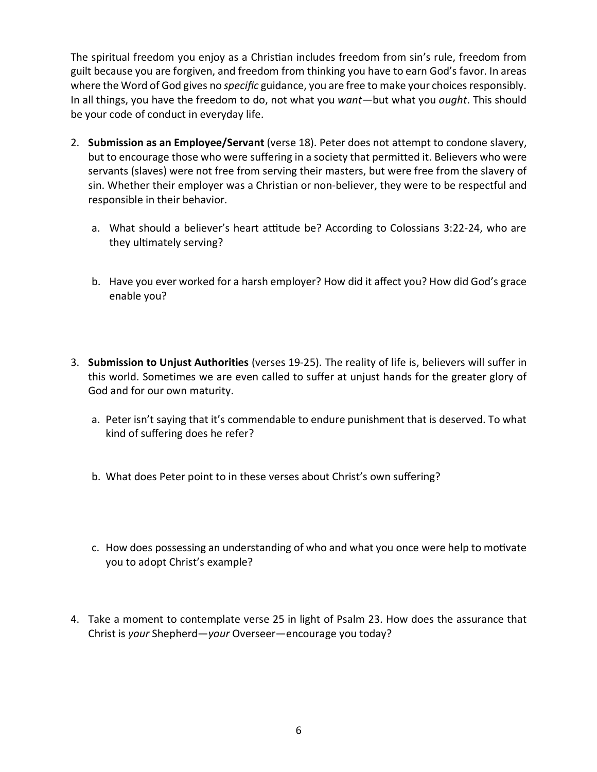The spiritual freedom you enjoy as a Christian includes freedom from sin's rule, freedom from guilt because you are forgiven, and freedom from thinking you have to earn God's favor. In areas where the Word of God gives no *specific* guidance, you are free to make your choices responsibly. In all things, you have the freedom to do, not what you *want—*but what you *ought*. This should be your code of conduct in everyday life.

- 2. **Submission as an Employee/Servant** (verse 18). Peter does not attempt to condone slavery, but to encourage those who were suffering in a society that permitted it. Believers who were servants (slaves) were not free from serving their masters, but were free from the slavery of sin. Whether their employer was a Christian or non-believer, they were to be respectful and responsible in their behavior.
	- a. What should a believer's heart attitude be? According to Colossians 3:22-24, who are they ultimately serving?
	- b. Have you ever worked for a harsh employer? How did it affect you? How did God's grace enable you?
- 3. **Submission to Unjust Authorities** (verses 19-25). The reality of life is, believers will suffer in this world. Sometimes we are even called to suffer at unjust hands for the greater glory of God and for our own maturity.
	- a. Peter isn't saying that it's commendable to endure punishment that is deserved. To what kind of suffering does he refer?
	- b. What does Peter point to in these verses about Christ's own suffering?
	- c. How does possessing an understanding of who and what you once were help to motivate you to adopt Christ's example?
- 4. Take a moment to contemplate verse 25 in light of Psalm 23. How does the assurance that Christ is *your* Shepherd—*your* Overseer—encourage you today?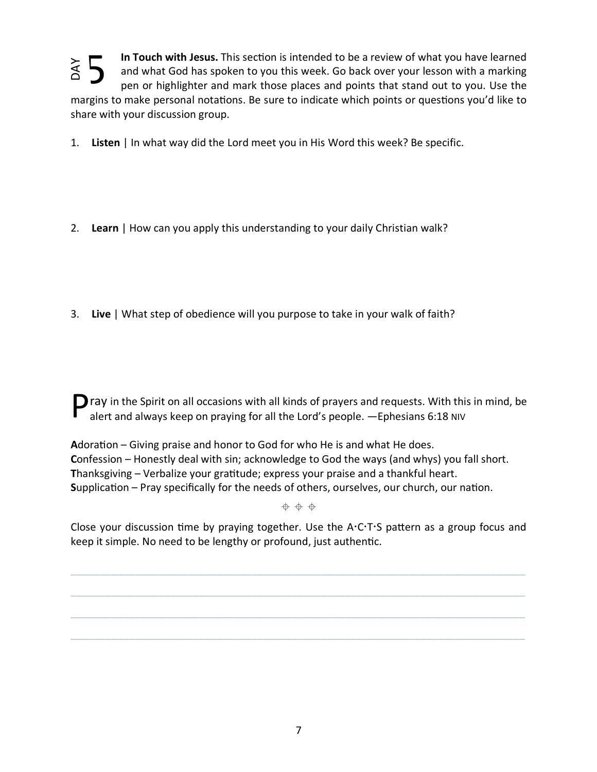5 In Touch with Jesus. This section is intended to be a review of what you have learned **NAC**  $\begin{bmatrix} 2 \ 2 \end{bmatrix}$  mar 1.<br>2.<br>3. and what God has spoken to you this week. Go back over your lesson with a marking pen or highlighter and mark those places and points that stand out to you. Use the margins to make personal notations. Be sure to indicate which points or questions you'd like to share with your discussion group.

1. **Listen** | In what way did the Lord meet you in His Word this week? Be specific.

- 2. **Learn** | How can you apply this understanding to your daily Christian walk?
- 3. **Live** | What step of obedience will you purpose to take in your walk of faith?

 $\Box$  ray in the Spirit on all occasions with all kinds of prayers and requests. With this in mind, be alert and always keep on praying for all the Lord's people. —Ephesians 6:18 NIV

Adoration – Giving praise and honor to God for who He is and what He does. **C**onfession – Honestly deal with sin; acknowledge to God the ways (and whys) you fall short. **T**hanksgiving – Verbalize your gramtude; express your praise and a thankful heart. **Supplication – Pray specifically for the needs of others, ourselves, our church, our nation.** 

 $+ + +$ 

Close your discussion time by praying together. Use the  $A:CTS$  pattern as a group focus and keep it simple. No need to be lengthy or profound, just authentic.

\_\_\_\_\_\_\_\_\_\_\_\_\_\_\_\_\_\_\_\_\_\_\_\_\_\_\_\_\_\_\_\_\_\_\_\_\_\_\_\_\_\_\_\_\_\_\_\_\_\_\_\_\_\_\_\_\_\_\_\_\_\_\_\_\_\_\_\_\_\_\_\_\_\_\_\_\_\_

\_\_\_\_\_\_\_\_\_\_\_\_\_\_\_\_\_\_\_\_\_\_\_\_\_\_\_\_\_\_\_\_\_\_\_\_\_\_\_\_\_\_\_\_\_\_\_\_\_\_\_\_\_\_\_\_\_\_\_\_\_\_\_\_\_\_\_\_\_\_\_\_\_\_\_\_\_\_

\_\_\_\_\_\_\_\_\_\_\_\_\_\_\_\_\_\_\_\_\_\_\_\_\_\_\_\_\_\_\_\_\_\_\_\_\_\_\_\_\_\_\_\_\_\_\_\_\_\_\_\_\_\_\_\_\_\_\_\_\_\_\_\_\_\_\_\_\_\_\_\_\_\_\_\_\_\_

 $\_$  , and the set of the set of the set of the set of the set of the set of the set of the set of the set of the set of the set of the set of the set of the set of the set of the set of the set of the set of the set of th